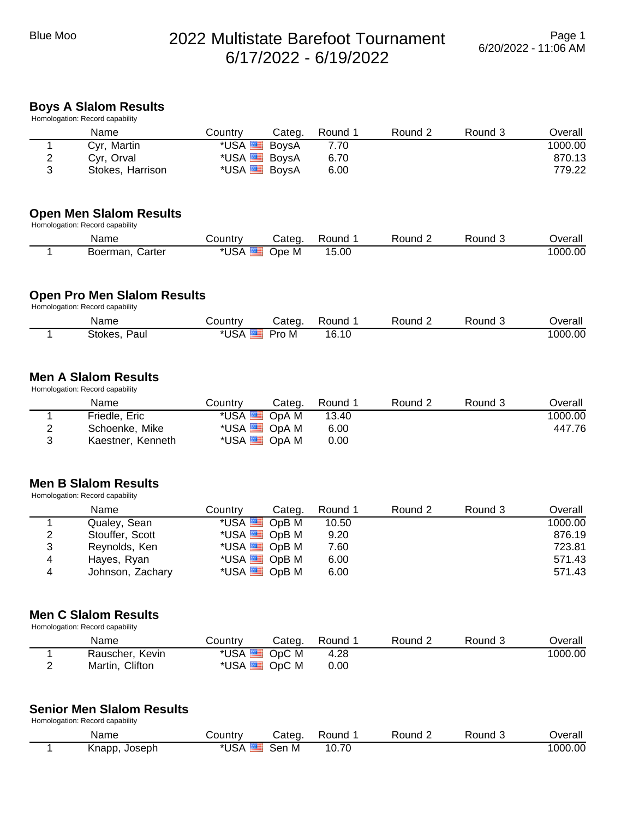# Blue Moo 2022 Multistate Barefoot Tournament 6/17/2022 - 6/19/2022

#### **Boys A Slalom Results** Homologation: Record capability

|   | Tioniologation. INCOOR Capability |                     |        |         |         |         |         |
|---|-----------------------------------|---------------------|--------|---------|---------|---------|---------|
|   | Name                              | Countrv             | Categ. | Round 1 | Round 2 | Round 3 | Overall |
|   | Cyr, Martin                       | *USA BoysA          |        | 7.70    |         |         | 1000.00 |
| ∠ | Cvr. Orval                        | *USA BoysA          |        | 6.70    |         |         | 870.13  |
| ≏ | Stokes, Harrison                  | *USA <b>B</b> BoysA |        | 6.00    |         |         | 779.22  |
|   |                                   |                     |        |         |         |         |         |

#### **Open Men Slalom Results**

Homologation: Record capability

| Name               | ountryـ    | Categ | Round | Round | Round | <b>Dverall</b> |
|--------------------|------------|-------|-------|-------|-------|----------------|
| Boerman.<br>Carter | <b>USA</b> | Ope M | 15.00 |       |       | 1000.00        |

#### **Open Pro Men Slalom Results**

Homologation: Record capability

| Name            | Country | atedٽ | Round | Round | Round | <b>Dverall</b> |
|-----------------|---------|-------|-------|-------|-------|----------------|
| Stokes.<br>Paul | `USA    | Pro M | 16.10 |       |       | 1000.00        |

#### **Men A Slalom Results** Homologation: Record capability

| Name              | Countrv | Categ.               | Round 1 | Round 2 | Round 3 | Overall |
|-------------------|---------|----------------------|---------|---------|---------|---------|
| Friedle, Eric     |         | *USA BIOPA M         | 13.40   |         |         | 1000.00 |
| Schoenke, Mike    |         | *USA <b>E</b> OpA M  | 6.00    |         |         | 447.76  |
| Kaestner, Kenneth |         | *USA <b>ED</b> OpA M | 0.00    |         |         |         |

### **Men B Slalom Results**

Homologation: Record capability

|   | Name             | Country             | Categ.              | Round 1 | Round 2 | Round 3 | Overall |
|---|------------------|---------------------|---------------------|---------|---------|---------|---------|
|   | Qualey, Sean     | *USA $\equiv$ OpB M |                     | 10.50   |         |         | 1000.00 |
| 2 | Stouffer, Scott  |                     | *USA $\equiv$ OpB M | 9.20    |         |         | 876.19  |
| 3 | Reynolds, Ken    | *USA $\equiv$ OpB M |                     | 7.60    |         |         | 723.81  |
| 4 | Hayes, Ryan      | *USA $\equiv$ OpB M |                     | 6.00    |         |         | 571.43  |
| 4 | Johnson, Zachary | *USA <b>E</b> OpB M |                     | 6.00    |         |         | 571.43  |

#### **Men C Slalom Results**

| Homologation: Record capability |                 |                |        |                   |         |         |         |  |  |
|---------------------------------|-----------------|----------------|--------|-------------------|---------|---------|---------|--|--|
|                                 | Name            | Countrv        | Categ. | Round             | Round 2 | Round 3 | Overall |  |  |
|                                 | Rauscher, Kevin | *USA SO OpC M  |        | 4.28              |         |         | 1000.00 |  |  |
| <u>_</u>                        | Martin, Clifton | *USA BSI OpC M |        | 0.00 <sub>1</sub> |         |         |         |  |  |

## **Senior Men Slalom Results**

Homologation: Record capability

| Name             | ountr∨ٽ | Categ    | Round | Round | Round | <b>T</b> |
|------------------|---------|----------|-------|-------|-------|----------|
| Joseph<br>Knapp, | USA     | ser<br>M | 10.70 |       |       | 1000.00  |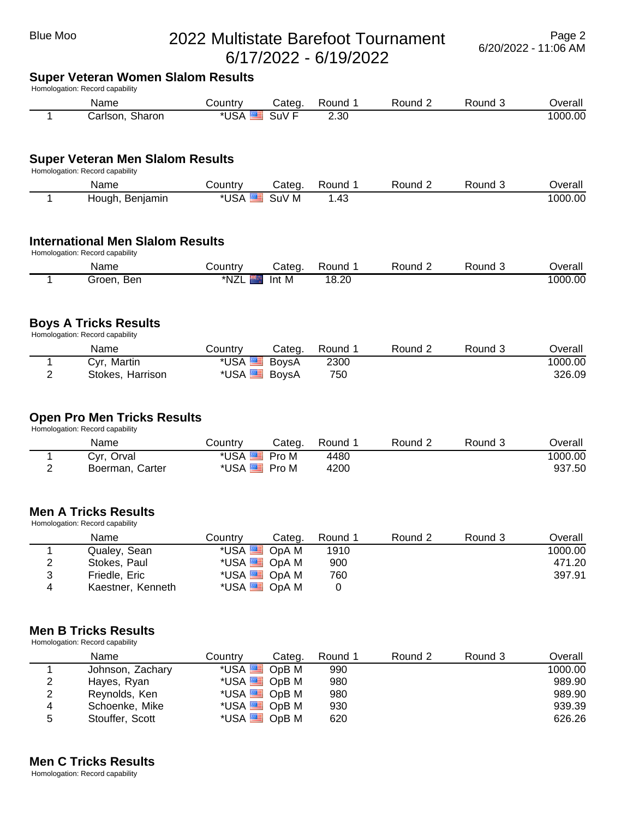## Blue Moo 2022 Multistate Barefoot Tournament 6/17/2022 - 6/19/2022

## **Super Veteran Women Slalom Results**

Homologation: Record capability

| Name               | <b>⊜ountr</b> ∨ | Categ       | Round | Round | Round | <b>Dverall</b> |
|--------------------|-----------------|-------------|-------|-------|-------|----------------|
| Sharon<br>Carlson. | USA             | . .<br>5UV. | 2.30  |       |       | 1000.00        |

#### **Super Veteran Men Slalom Results**

Homologation: Record capability

| Name               | تountr∨ | ات cated | Round | Round | Round | ⊃verall |
|--------------------|---------|----------|-------|-------|-------|---------|
| Beniamin<br>Hough, | USA     | SuV M    | .43   |       |       | 1000.00 |

#### **International Men Slalom Results** Homologation: Record capability

| Name          | .ountryٽ | Cated | Round | Round | Round | <b>Dverall</b> |
|---------------|----------|-------|-------|-------|-------|----------------|
| Ben<br>Groen. | *NZL     | Int M | 18.20 |       |       | 1000.00        |

#### **Boys A Tricks Results**

Homologation: Record capability

|   | Name             | ڪountr∨ | Categ. | Round | ∟ Round | Round 5 | <b>Dverall</b> |
|---|------------------|---------|--------|-------|---------|---------|----------------|
|   | Cyr, Martin      | *USA    | BoysA  | 2300  |         |         | 1000.00        |
| _ | Stokes, Harrison | *USA    | BoysA  | 750   |         |         | 326.09         |

#### **Open Pro Men Tricks Results**

Homologation: Record capability

| Name            | こountry            | Categ. | Round | Round $\sim$ | Round 3 | Overall |
|-----------------|--------------------|--------|-------|--------------|---------|---------|
| Cyr, Orval      | *USA ██            | Pro M  | 4480  |              |         | 1000.00 |
| Boerman, Carter | *USA <del>EE</del> | Pro M  | 4200  |              |         | 937.50  |

#### **Men A Tricks Results**

Homologation: Record capability

|   | Name              | Country             | Categ.              | Round 1 | Round 2 | Round 3 | Overall |
|---|-------------------|---------------------|---------------------|---------|---------|---------|---------|
|   | Qualey, Sean      | *USA <b>E</b> OpA M |                     | 1910    |         |         | 1000.00 |
| 2 | Stokes, Paul      |                     | *USA <b>E OpA</b> M | 900     |         |         | 471.20  |
| 3 | Friedle, Eric     |                     | *USA <b>E OpA</b> M | 760     |         |         | 397.91  |
| 4 | Kaestner, Kenneth |                     | *USA <b>E</b> OpA M |         |         |         |         |

### **Men B Tricks Results**

Homologation: Record capability

|   | Name             | Countrv             | Categ. | Round 1 | Round 2 | Round 3 | Overall |
|---|------------------|---------------------|--------|---------|---------|---------|---------|
|   | Johnson, Zachary | *USA $\equiv$ OpB M |        | 990     |         |         | 1000.00 |
| 2 | Hayes, Ryan      | *USA $\equiv$ OpB M |        | 980     |         |         | 989.90  |
| 2 | Reynolds, Ken    | *USA $\equiv$ OpB M |        | 980     |         |         | 989.90  |
| 4 | Schoenke, Mike   | *USA $\equiv$ OpB M |        | 930     |         |         | 939.39  |
| 5 | Stouffer, Scott  | *USA <b>E</b> OpB M |        | 620     |         |         | 626.26  |

#### **Men C Tricks Results**

Homologation: Record capability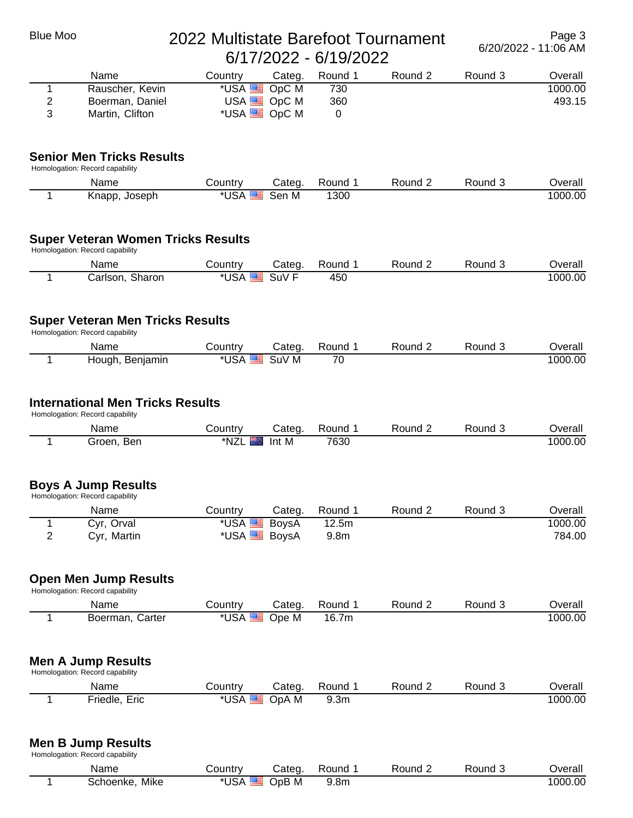| <b>Blue Moo</b> | 2022 Multistate Barefoot Tournament                                          | Page 3<br>6/20/2022 - 11:06 AM |                               |                  |         |         |         |
|-----------------|------------------------------------------------------------------------------|--------------------------------|-------------------------------|------------------|---------|---------|---------|
|                 | Name                                                                         | Country                        | Categ.                        | Round 1          | Round 2 | Round 3 | Overall |
| 1               | Rauscher, Kevin                                                              | *USA                           | OpC M                         | 730              |         |         | 1000.00 |
| 2<br>3          | Boerman, Daniel<br>Martin, Clifton                                           | USA <sup>E</sup>               | OpC M<br>*USA <b>DE</b> OpC M | 360<br>0         |         |         | 493.15  |
|                 |                                                                              |                                |                               |                  |         |         |         |
|                 | <b>Senior Men Tricks Results</b><br>Homologation: Record capability          |                                |                               |                  |         |         |         |
|                 | Name                                                                         | Country                        | Categ.                        | Round 1          | Round 2 | Round 3 | Overall |
| 1               | Knapp, Joseph                                                                | *USA                           | Sen M                         | 1300             |         |         | 1000.00 |
|                 | <b>Super Veteran Women Tricks Results</b><br>Homologation: Record capability |                                |                               |                  |         |         |         |
|                 | Name                                                                         | Country                        | Categ.                        | Round 1          | Round 2 | Round 3 | Overall |
| 1               | Carlson, Sharon                                                              | *USA <sup>E</sup>              | SuV <sub>F</sub>              | 450              |         |         | 1000.00 |
|                 | <b>Super Veteran Men Tricks Results</b><br>Homologation: Record capability   |                                |                               |                  |         |         |         |
|                 | Name                                                                         | Country                        | Categ.                        | Round 1          | Round 2 | Round 3 | Overall |
| 1               | Hough, Benjamin                                                              | *USA                           | SuV M                         | 70               |         |         | 1000.00 |
|                 | <b>International Men Tricks Results</b><br>Homologation: Record capability   |                                |                               |                  |         |         |         |
|                 | Name                                                                         | Country                        | Categ.                        | Round 1          | Round 2 | Round 3 | Overall |
| 1               | Groen, Ben                                                                   | *NZL                           | Int M                         | 7630             |         |         | 1000.00 |
|                 | <b>Boys A Jump Results</b><br>Homologation: Record capability                |                                |                               |                  |         |         |         |
|                 | Name                                                                         | Country                        | Categ.                        | Round 1          | Round 2 | Round 3 | Overall |
| 1               | Cyr, Orval                                                                   | *USA                           | <b>BoysA</b>                  | 12.5m            |         |         | 1000.00 |
| $\overline{2}$  | Cyr, Martin                                                                  | *USA <sup>E</sup>              | <b>BoysA</b>                  | 9.8 <sub>m</sub> |         |         | 784.00  |
|                 | <b>Open Men Jump Results</b><br>Homologation: Record capability              |                                |                               |                  |         |         |         |
|                 | Name                                                                         | Country                        | Categ.                        | Round 1          | Round 2 | Round 3 | Overall |
| 1               | Boerman, Carter                                                              | *USA                           | Ope M                         | 16.7m            |         |         | 1000.00 |
|                 | <b>Men A Jump Results</b><br>Homologation: Record capability                 |                                |                               |                  |         |         |         |
|                 | Name                                                                         | Country                        | Categ.                        | Round 1          | Round 2 | Round 3 | Overall |
| 1               | Friedle, Eric                                                                | *USA                           | OpA M                         | 9.3 <sub>m</sub> |         |         | 1000.00 |
|                 | <b>Men B Jump Results</b><br>Homologation: Record capability                 |                                |                               |                  |         |         |         |

| Name                               | ∴ountrٽ    | Categ   | Round | Round | <b>Round</b><br>. . | <br>Overall |
|------------------------------------|------------|---------|-------|-------|---------------------|-------------|
| Mike<br>Schoenke.<br>$\sim$ $\sim$ | <b>USA</b> | $OpB$ M | 9.8m  |       |                     | 1000.00     |